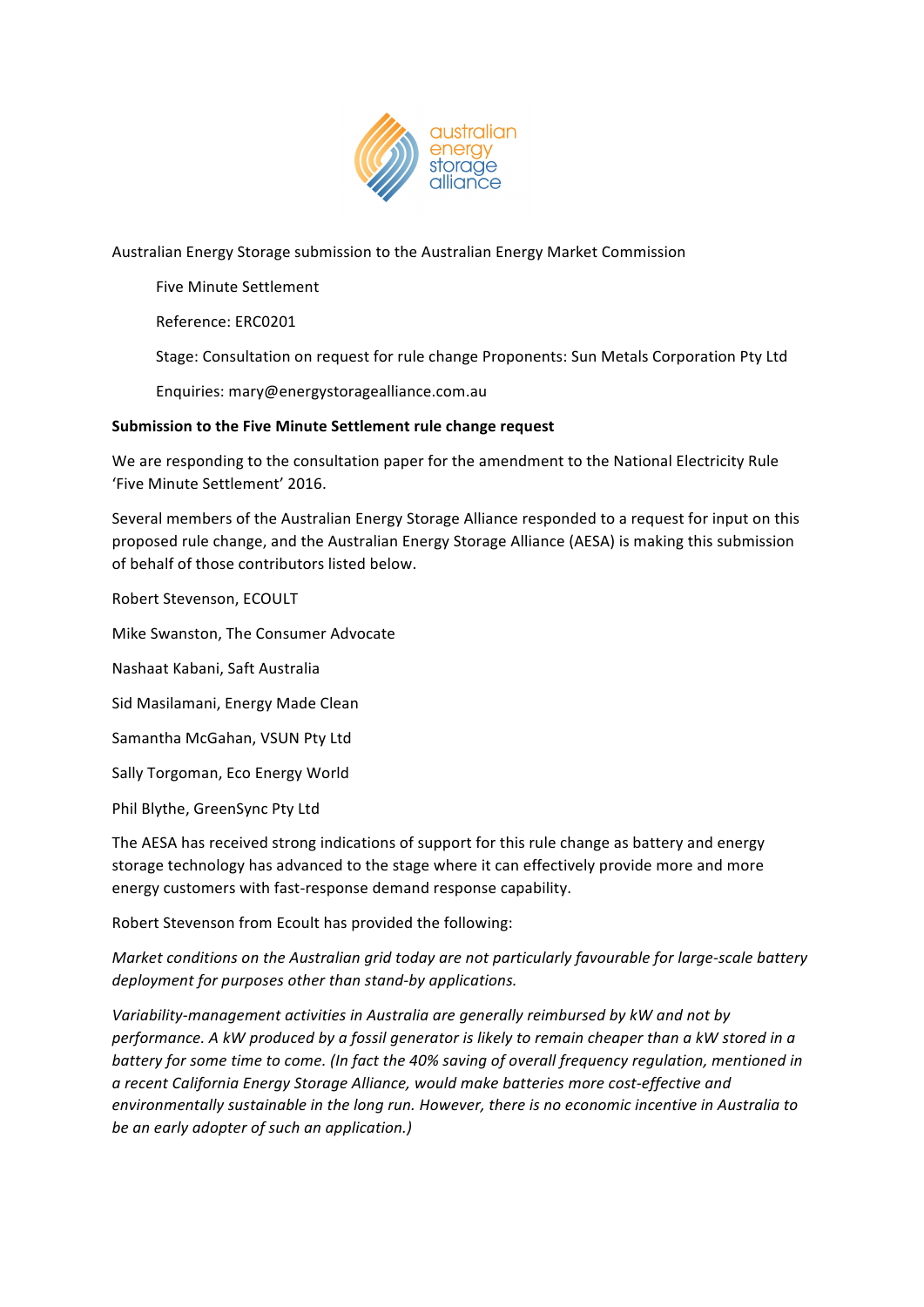

Australian Energy Storage submission to the Australian Energy Market Commission

Five Minute Settlement

Reference: ERC0201

Stage: Consultation on request for rule change Proponents: Sun Metals Corporation Pty Ltd

Enquiries: mary@energystoragealliance.com.au

# Submission to the Five Minute Settlement rule change request

We are responding to the consultation paper for the amendment to the National Electricity Rule 'Five Minute Settlement' 2016.

Several members of the Australian Energy Storage Alliance responded to a request for input on this proposed rule change, and the Australian Energy Storage Alliance (AESA) is making this submission of behalf of those contributors listed below.

Robert Stevenson, ECOULT

Mike Swanston, The Consumer Advocate

Nashaat Kabani, Saft Australia

Sid Masilamani, Energy Made Clean

Samantha McGahan, VSUN Pty Ltd

Sally Torgoman, Eco Energy World

Phil Blythe, GreenSync Pty Ltd

The AESA has received strong indications of support for this rule change as battery and energy storage technology has advanced to the stage where it can effectively provide more and more energy customers with fast-response demand response capability.

Robert Stevenson from Ecoult has provided the following:

*Market conditions on the Australian grid today are not particularly favourable for large-scale battery deployment for purposes other than stand-by applications.* 

Variability-management activities in Australia are generally reimbursed by kW and not by *performance.* A kW produced by a fossil generator is likely to remain cheaper than a kW stored in a *battery for some time to come. (In fact the 40% saving of overall frequency regulation, mentioned in a recent California Energy Storage Alliance, would make batteries more cost-effective and*  environmentally sustainable in the long run. However, there is no economic incentive in Australia to *be an early adopter of such an application.)*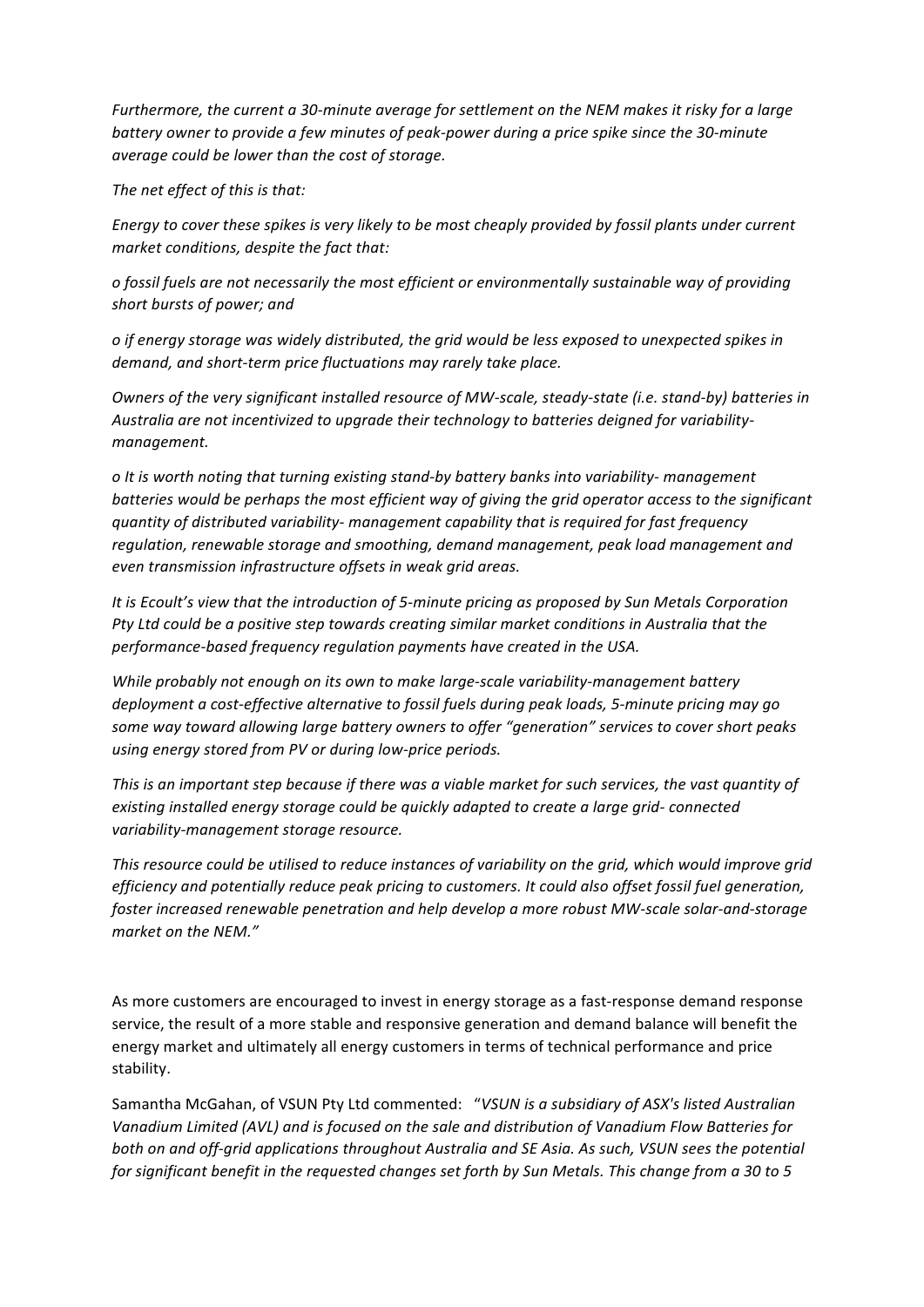*Furthermore, the current a 30-minute average for settlement on the NEM makes it risky for a large battery* owner to provide a few minutes of peak-power during a price spike since the 30-minute *average could be lower than the cost of storage.* 

The net effect of this is that:

*Energy to cover these spikes is very likely to be most cheaply provided by fossil plants under current market conditions, despite the fact that:* 

*o fossil fuels are not necessarily the most efficient or environmentally sustainable way of providing*  short bursts of power; and

*o if energy storage was widely distributed, the grid would be less exposed to unexpected spikes in*  demand, and short-term price fluctuations may rarely take place.

*Owners of the very significant installed resource of MW-scale, steady-state (i.e. stand-by) batteries in* Australia are not incentivized to upgrade their technology to batteries deigned for variability*management.*

 $o$  It is worth noting that turning existing stand-by battery banks into variability- management *batteries* would be perhaps the most efficient way of giving the grid operator access to the significant *quantity* of distributed variability- management capability that is required for fast frequency regulation, renewable storage and smoothing, demand management, peak load management and *even transmission infrastructure offsets in weak grid areas.*

*It is Ecoult's view that the introduction of 5-minute pricing as proposed by Sun Metals Corporation* Pty Ltd could be a positive step towards creating similar market conditions in Australia that the performance-based frequency regulation payments have created in the USA.

*While probably not enough on its own to make large-scale variability-management battery* deployment a cost-effective alternative to fossil fuels during peak loads, 5-minute pricing may go some way toward allowing large battery owners to offer "generation" services to cover short peaks using energy stored from PV or during low-price periods.

This is an important step because if there was a viable market for such services, the vast quantity of existing installed energy storage could be quickly adapted to create a large grid- connected variability-management storage resource.

This resource could be utilised to reduce instances of variability on the grid, which would improve grid *efficiency* and potentially reduce peak pricing to customers. It could also offset fossil fuel generation, foster increased renewable penetration and help develop a more robust MW-scale solar-and-storage market on the NEM."

As more customers are encouraged to invest in energy storage as a fast-response demand response service, the result of a more stable and responsive generation and demand balance will benefit the energy market and ultimately all energy customers in terms of technical performance and price stability.

Samantha McGahan, of VSUN Pty Ltd commented: "VSUN is a subsidiary of ASX's listed Australian Vanadium Limited (AVL) and is focused on the sale and distribution of Vanadium Flow Batteries for both on and off-grid applications throughout Australia and SE Asia. As such, VSUN sees the potential *for significant benefit in the requested changes set forth by Sun Metals. This change from a 30 to 5*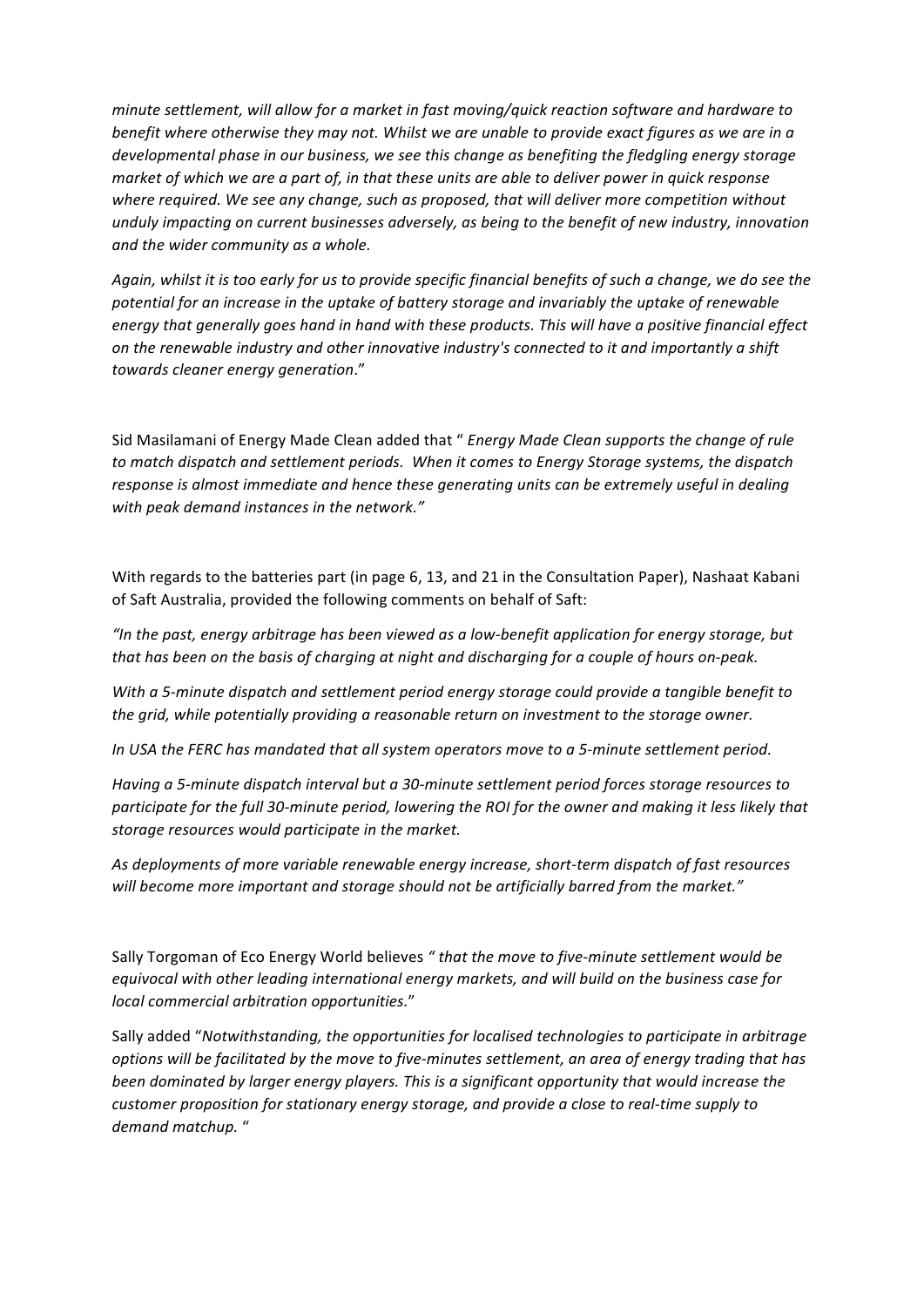*minute settlement, will allow for a market in fast moving/quick reaction software and hardware to benefit where otherwise they may not. Whilst we are unable to provide exact figures as we are in a developmental phase in our business, we see this change as benefiting the fledgling energy storage market of which we are a part of, in that these units are able to deliver power in quick response* where required. We see any change, such as proposed, that will deliver more competition without unduly impacting on current businesses adversely, as being to the benefit of new industry, innovation and the wider community as a whole.

Again, whilst it is too early for us to provide specific financial benefits of such a change, we do see the potential for an increase in the uptake of battery storage and invariably the uptake of renewable energy that generally goes hand in hand with these products. This will have a positive financial effect on the renewable industry and other innovative industry's connected to it and importantly a shift *towards cleaner energy generation*."

Sid Masilamani of Energy Made Clean added that " *Energy Made Clean supports the change of rule* to match dispatch and settlement periods. When it comes to Energy Storage systems, the dispatch response is almost immediate and hence these generating units can be extremely useful in dealing with peak demand instances in the network."

With regards to the batteries part (in page 6, 13, and 21 in the Consultation Paper), Nashaat Kabani of Saft Australia, provided the following comments on behalf of Saft:

"In the past, energy arbitrage has been viewed as a low-benefit application for energy storage, but *that has been on the basis of charging at night and discharging for a couple of hours on-peak.* 

With a 5-minute dispatch and settlement period energy storage could provide a tangible benefit to *the grid, while potentially providing a reasonable return on investment to the storage owner.* 

In USA the FERC has mandated that all system operators move to a 5-minute settlement period.

*Having* a 5-minute dispatch interval but a 30-minute settlement period forces storage resources to participate for the full 30-minute period, lowering the ROI for the owner and making it less likely that storage resources would participate in the market.

As deployments of more variable renewable energy increase, short-term dispatch of fast resources will become more important and storage should not be artificially barred from the market."

Sally Torgoman of Eco Energy World believes "that the move to five-minute settlement would be equivocal with other leading international energy markets, and will build on the business case for *local commercial arbitration opportunities.*"

Sally added "Notwithstanding, the opportunities for localised technologies to participate in arbitrage *options* will be facilitated by the move to five-minutes settlement, an area of energy trading that has *been dominated by larger energy players. This is a significant opportunity that would increase the customer proposition for stationary energy storage, and provide a close to real-time supply to demand matchup.* "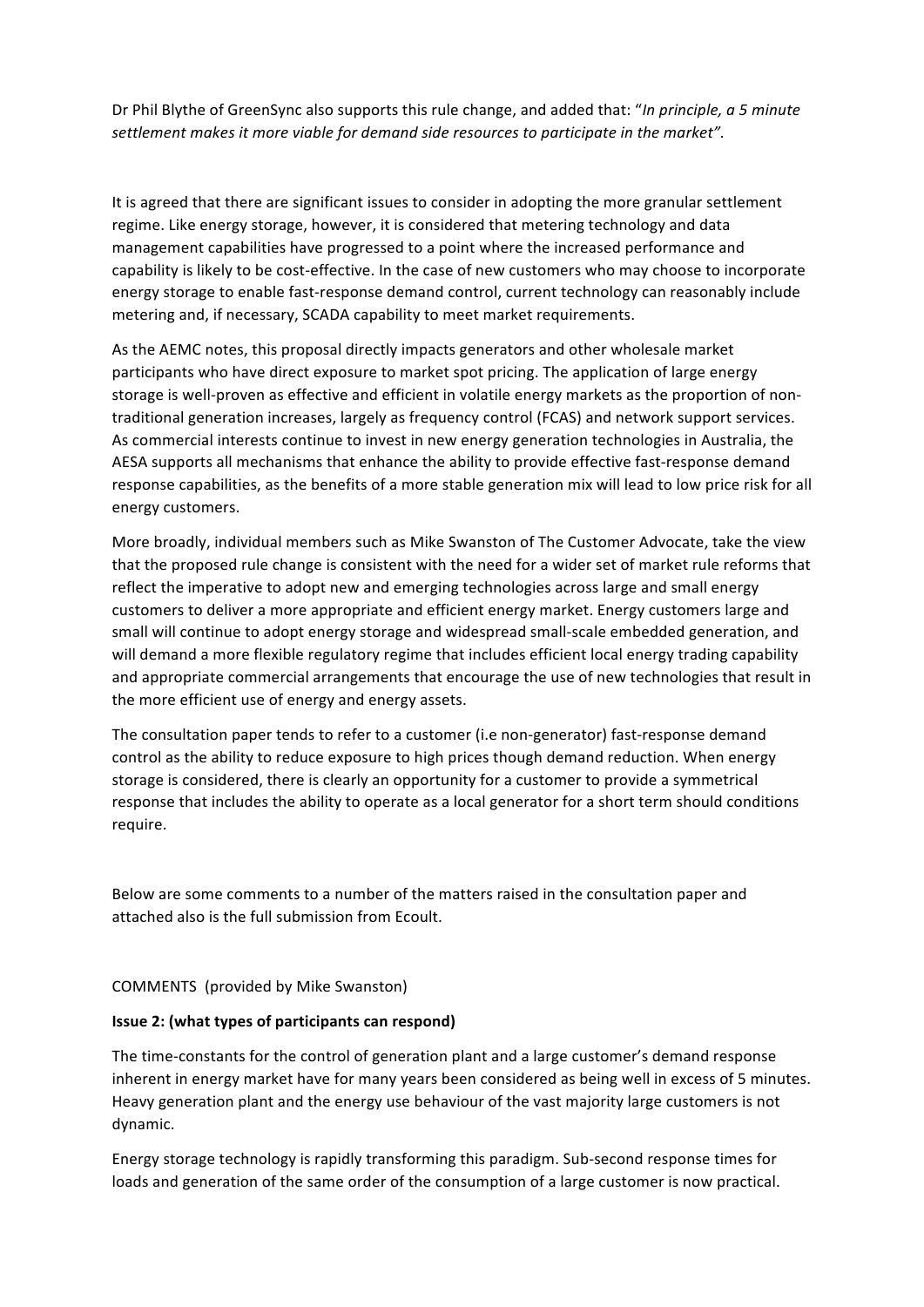Dr Phil Blythe of GreenSync also supports this rule change, and added that: "*In principle, a 5 minute* settlement makes it more viable for demand side resources to participate in the market".

It is agreed that there are significant issues to consider in adopting the more granular settlement regime. Like energy storage, however, it is considered that metering technology and data management capabilities have progressed to a point where the increased performance and capability is likely to be cost-effective. In the case of new customers who may choose to incorporate energy storage to enable fast-response demand control, current technology can reasonably include metering and, if necessary, SCADA capability to meet market requirements.

As the AEMC notes, this proposal directly impacts generators and other wholesale market participants who have direct exposure to market spot pricing. The application of large energy storage is well-proven as effective and efficient in volatile energy markets as the proportion of nontraditional generation increases, largely as frequency control (FCAS) and network support services. As commercial interests continue to invest in new energy generation technologies in Australia, the AESA supports all mechanisms that enhance the ability to provide effective fast-response demand response capabilities, as the benefits of a more stable generation mix will lead to low price risk for all energy customers.

More broadly, individual members such as Mike Swanston of The Customer Advocate, take the view that the proposed rule change is consistent with the need for a wider set of market rule reforms that reflect the imperative to adopt new and emerging technologies across large and small energy customers to deliver a more appropriate and efficient energy market. Energy customers large and small will continue to adopt energy storage and widespread small-scale embedded generation, and will demand a more flexible regulatory regime that includes efficient local energy trading capability and appropriate commercial arrangements that encourage the use of new technologies that result in the more efficient use of energy and energy assets.

The consultation paper tends to refer to a customer (i.e non-generator) fast-response demand control as the ability to reduce exposure to high prices though demand reduction. When energy storage is considered, there is clearly an opportunity for a customer to provide a symmetrical response that includes the ability to operate as a local generator for a short term should conditions require.

Below are some comments to a number of the matters raised in the consultation paper and attached also is the full submission from Ecoult.

COMMENTS (provided by Mike Swanston)

### **Issue 2: (what types of participants can respond)**

The time-constants for the control of generation plant and a large customer's demand response inherent in energy market have for many years been considered as being well in excess of 5 minutes. Heavy generation plant and the energy use behaviour of the vast majority large customers is not dynamic.

Energy storage technology is rapidly transforming this paradigm. Sub-second response times for loads and generation of the same order of the consumption of a large customer is now practical.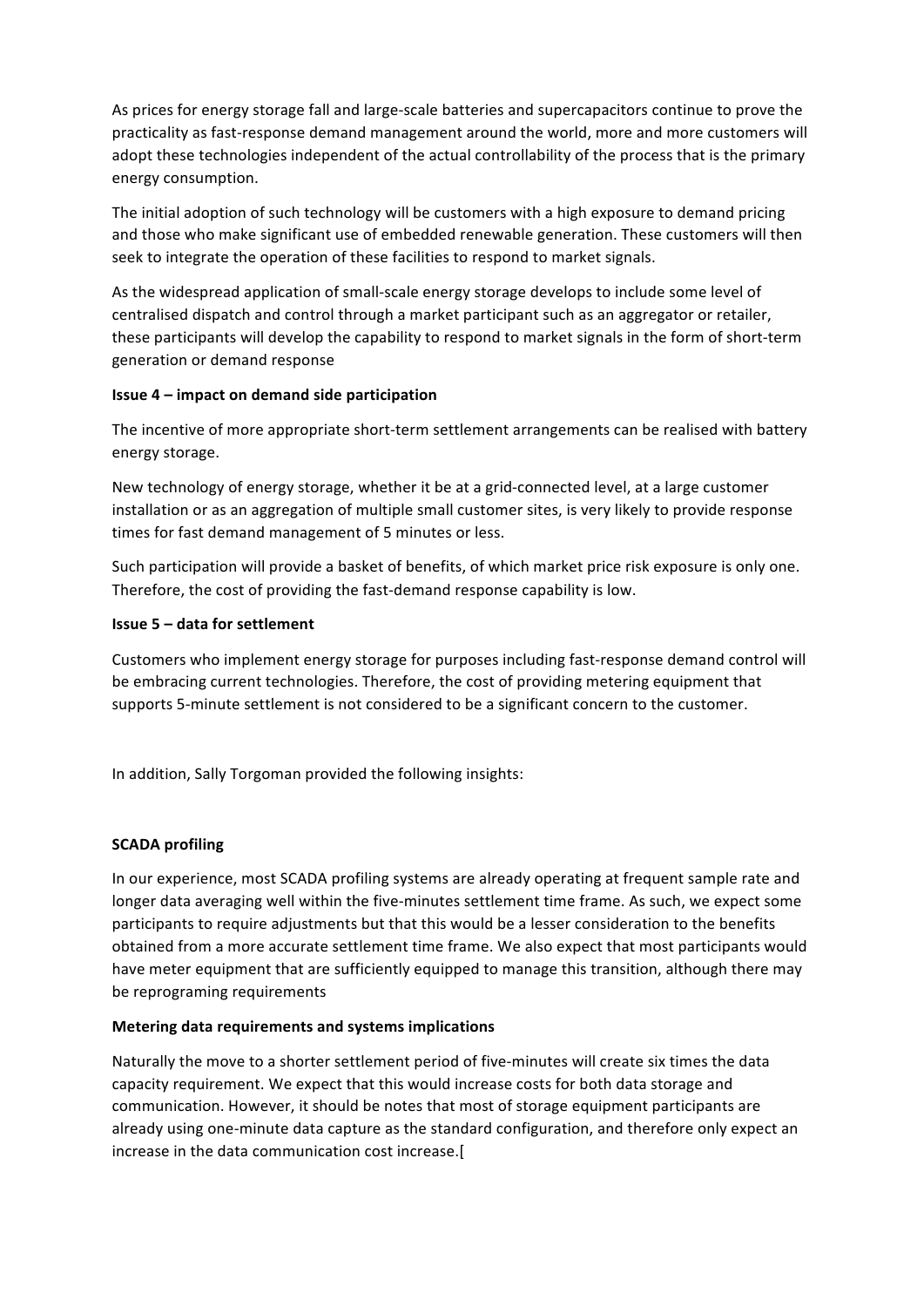As prices for energy storage fall and large-scale batteries and supercapacitors continue to prove the practicality as fast-response demand management around the world, more and more customers will adopt these technologies independent of the actual controllability of the process that is the primary energy consumption.

The initial adoption of such technology will be customers with a high exposure to demand pricing and those who make significant use of embedded renewable generation. These customers will then seek to integrate the operation of these facilities to respond to market signals.

As the widespread application of small-scale energy storage develops to include some level of centralised dispatch and control through a market participant such as an aggregator or retailer, these participants will develop the capability to respond to market signals in the form of short-term generation or demand response

# **Issue 4 – impact on demand side participation**

The incentive of more appropriate short-term settlement arrangements can be realised with battery energy storage.

New technology of energy storage, whether it be at a grid-connected level, at a large customer installation or as an aggregation of multiple small customer sites, is very likely to provide response times for fast demand management of 5 minutes or less.

Such participation will provide a basket of benefits, of which market price risk exposure is only one. Therefore, the cost of providing the fast-demand response capability is low.

# **Issue 5 – data for settlement**

Customers who implement energy storage for purposes including fast-response demand control will be embracing current technologies. Therefore, the cost of providing metering equipment that supports 5-minute settlement is not considered to be a significant concern to the customer.

In addition, Sally Torgoman provided the following insights:

# **SCADA** profiling

In our experience, most SCADA profiling systems are already operating at frequent sample rate and longer data averaging well within the five-minutes settlement time frame. As such, we expect some participants to require adjustments but that this would be a lesser consideration to the benefits obtained from a more accurate settlement time frame. We also expect that most participants would have meter equipment that are sufficiently equipped to manage this transition, although there may be reprograming requirements

# **Metering data requirements and systems implications**

Naturally the move to a shorter settlement period of five-minutes will create six times the data capacity requirement. We expect that this would increase costs for both data storage and communication. However, it should be notes that most of storage equipment participants are already using one-minute data capture as the standard configuration, and therefore only expect an increase in the data communication cost increase.[